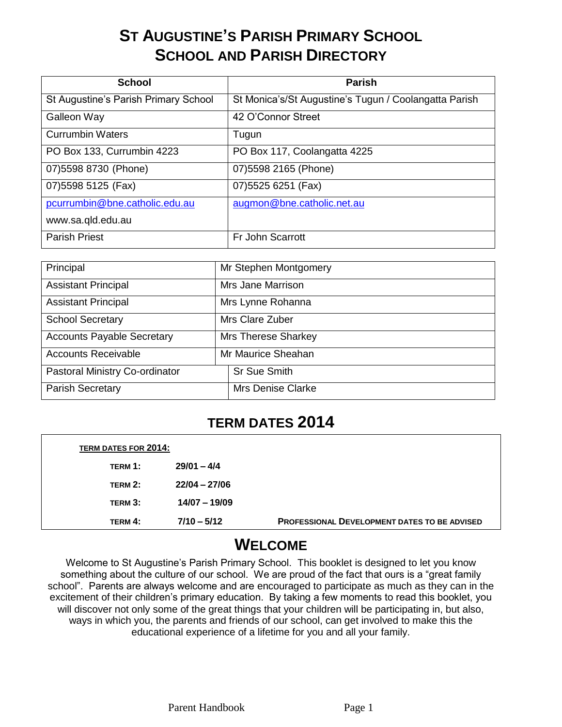# **ST AUGUSTINE'S PARISH PRIMARY SCHOOL SCHOOL AND PARISH DIRECTORY**

| <b>School</b>                        | <b>Parish</b>                                         |
|--------------------------------------|-------------------------------------------------------|
| St Augustine's Parish Primary School | St Monica's/St Augustine's Tugun / Coolangatta Parish |
| Galleon Way                          | 42 O'Connor Street                                    |
| <b>Currumbin Waters</b>              | Tugun                                                 |
| PO Box 133, Currumbin 4223           | PO Box 117, Coolangatta 4225                          |
| 07) 5598 8730 (Phone)                | 07) 5598 2165 (Phone)                                 |
| 07) 5598 5125 (Fax)                  | 07) 5525 6251 (Fax)                                   |
| pcurrumbin@bne.catholic.edu.au       | augmon@bne.catholic.net.au                            |
| www.sa.qld.edu.au                    |                                                       |
| <b>Parish Priest</b>                 | Fr John Scarrott                                      |

| Principal                         | Mr Stephen Montgomery      |
|-----------------------------------|----------------------------|
| <b>Assistant Principal</b>        | Mrs Jane Marrison          |
| <b>Assistant Principal</b>        | Mrs Lynne Rohanna          |
| <b>School Secretary</b>           | Mrs Clare Zuber            |
| <b>Accounts Payable Secretary</b> | <b>Mrs Therese Sharkey</b> |
| <b>Accounts Receivable</b>        | Mr Maurice Sheahan         |
| Pastoral Ministry Co-ordinator    | <b>Sr Sue Smith</b>        |
| <b>Parish Secretary</b>           | <b>Mrs Denise Clarke</b>   |

# **TERM DATES 2014**

| <b>TERM DATES FOR 2014:</b> |                 |                                                     |
|-----------------------------|-----------------|-----------------------------------------------------|
| TERM 1:                     | $29/01 - 4/4$   |                                                     |
| TERM 2:                     | $22/04 - 27/06$ |                                                     |
| TERM 3:                     | $14/07 - 19/09$ |                                                     |
| TERM 4:                     | $7/10 - 5/12$   | <b>PROFESSIONAL DEVELOPMENT DATES TO BE ADVISED</b> |

# **WELCOME**

Welcome to St Augustine's Parish Primary School. This booklet is designed to let you know something about the culture of our school. We are proud of the fact that ours is a "great family school". Parents are always welcome and are encouraged to participate as much as they can in the excitement of their children's primary education. By taking a few moments to read this booklet, you will discover not only some of the great things that your children will be participating in, but also, ways in which you, the parents and friends of our school, can get involved to make this the educational experience of a lifetime for you and all your family.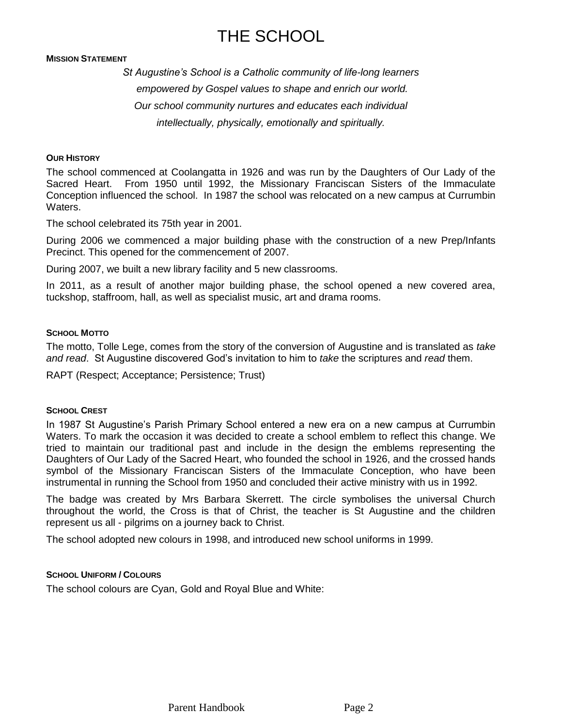# THE SCHOOL

#### **MISSION STATEMENT**

*St Augustine's School is a Catholic community of life-long learners empowered by Gospel values to shape and enrich our world. Our school community nurtures and educates each individual intellectually, physically, emotionally and spiritually.*

#### **OUR HISTORY**

The school commenced at Coolangatta in 1926 and was run by the Daughters of Our Lady of the Sacred Heart. From 1950 until 1992, the Missionary Franciscan Sisters of the Immaculate Conception influenced the school. In 1987 the school was relocated on a new campus at Currumbin Waters.

The school celebrated its 75th year in 2001.

During 2006 we commenced a major building phase with the construction of a new Prep/Infants Precinct. This opened for the commencement of 2007.

During 2007, we built a new library facility and 5 new classrooms.

In 2011, as a result of another major building phase, the school opened a new covered area, tuckshop, staffroom, hall, as well as specialist music, art and drama rooms.

#### **SCHOOL MOTTO**

The motto, Tolle Lege, comes from the story of the conversion of Augustine and is translated as *take and read*. St Augustine discovered God's invitation to him to *take* the scriptures and *read* them.

RAPT (Respect; Acceptance; Persistence; Trust)

#### **SCHOOL CREST**

In 1987 St Augustine's Parish Primary School entered a new era on a new campus at Currumbin Waters. To mark the occasion it was decided to create a school emblem to reflect this change. We tried to maintain our traditional past and include in the design the emblems representing the Daughters of Our Lady of the Sacred Heart, who founded the school in 1926, and the crossed hands symbol of the Missionary Franciscan Sisters of the Immaculate Conception, who have been instrumental in running the School from 1950 and concluded their active ministry with us in 1992.

The badge was created by Mrs Barbara Skerrett. The circle symbolises the universal Church throughout the world, the Cross is that of Christ, the teacher is St Augustine and the children represent us all - pilgrims on a journey back to Christ.

The school adopted new colours in 1998, and introduced new school uniforms in 1999.

#### **SCHOOL UNIFORM / COLOURS**

The school colours are Cyan, Gold and Royal Blue and White: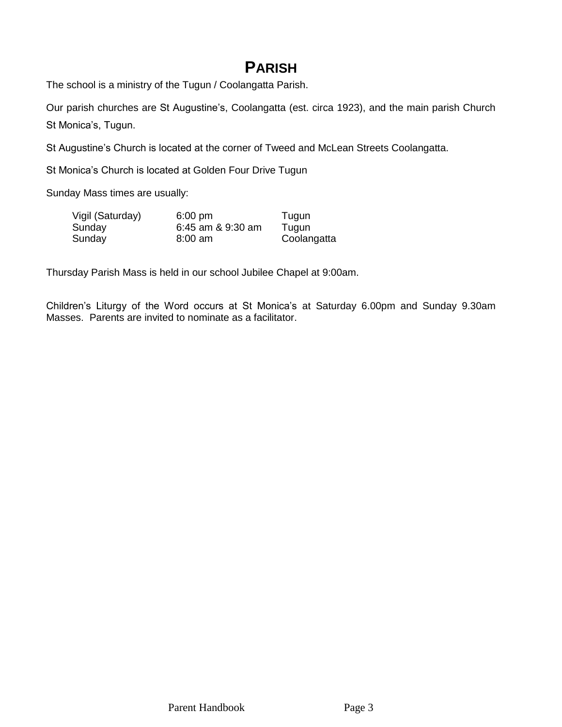# **PARISH**

The school is a ministry of the Tugun / Coolangatta Parish.

Our parish churches are St Augustine's, Coolangatta (est. circa 1923), and the main parish Church St Monica's, Tugun.

St Augustine's Church is located at the corner of Tweed and McLean Streets Coolangatta.

St Monica's Church is located at Golden Four Drive Tugun

Sunday Mass times are usually:

| Vigil (Saturday) | $6:00$ pm         | Tugun       |
|------------------|-------------------|-------------|
| Sunday           | 6:45 am & 9:30 am | Tugun       |
| Sunday           | $8:00$ am         | Coolangatta |

Thursday Parish Mass is held in our school Jubilee Chapel at 9:00am.

Children's Liturgy of the Word occurs at St Monica's at Saturday 6.00pm and Sunday 9.30am Masses. Parents are invited to nominate as a facilitator.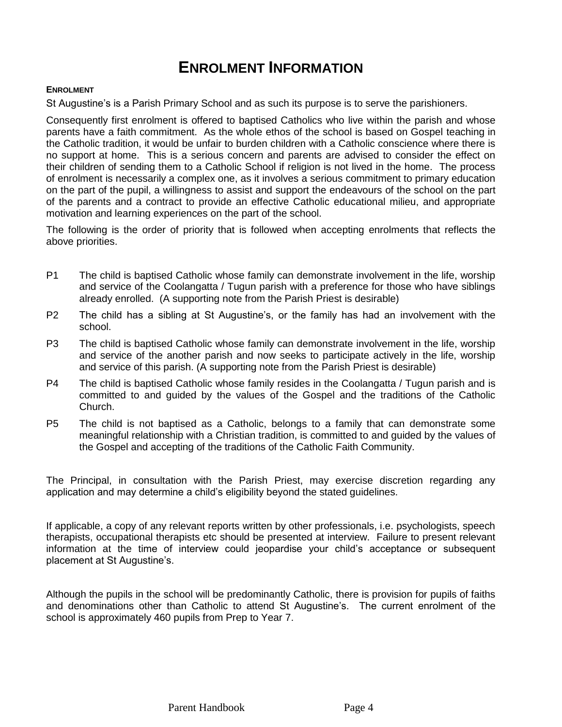# **ENROLMENT INFORMATION**

#### **ENROLMENT**

St Augustine's is a Parish Primary School and as such its purpose is to serve the parishioners.

Consequently first enrolment is offered to baptised Catholics who live within the parish and whose parents have a faith commitment. As the whole ethos of the school is based on Gospel teaching in the Catholic tradition, it would be unfair to burden children with a Catholic conscience where there is no support at home. This is a serious concern and parents are advised to consider the effect on their children of sending them to a Catholic School if religion is not lived in the home. The process of enrolment is necessarily a complex one, as it involves a serious commitment to primary education on the part of the pupil, a willingness to assist and support the endeavours of the school on the part of the parents and a contract to provide an effective Catholic educational milieu, and appropriate motivation and learning experiences on the part of the school.

The following is the order of priority that is followed when accepting enrolments that reflects the above priorities.

- P1 The child is baptised Catholic whose family can demonstrate involvement in the life, worship and service of the Coolangatta / Tugun parish with a preference for those who have siblings already enrolled. (A supporting note from the Parish Priest is desirable)
- P2 The child has a sibling at St Augustine's, or the family has had an involvement with the school.
- P3 The child is baptised Catholic whose family can demonstrate involvement in the life, worship and service of the another parish and now seeks to participate actively in the life, worship and service of this parish. (A supporting note from the Parish Priest is desirable)
- P4 The child is baptised Catholic whose family resides in the Coolangatta / Tugun parish and is committed to and guided by the values of the Gospel and the traditions of the Catholic Church.
- P5 The child is not baptised as a Catholic, belongs to a family that can demonstrate some meaningful relationship with a Christian tradition, is committed to and guided by the values of the Gospel and accepting of the traditions of the Catholic Faith Community.

The Principal, in consultation with the Parish Priest, may exercise discretion regarding any application and may determine a child's eligibility beyond the stated guidelines.

If applicable, a copy of any relevant reports written by other professionals, i.e. psychologists, speech therapists, occupational therapists etc should be presented at interview. Failure to present relevant information at the time of interview could jeopardise your child's acceptance or subsequent placement at St Augustine's.

Although the pupils in the school will be predominantly Catholic, there is provision for pupils of faiths and denominations other than Catholic to attend St Augustine's. The current enrolment of the school is approximately 460 pupils from Prep to Year 7.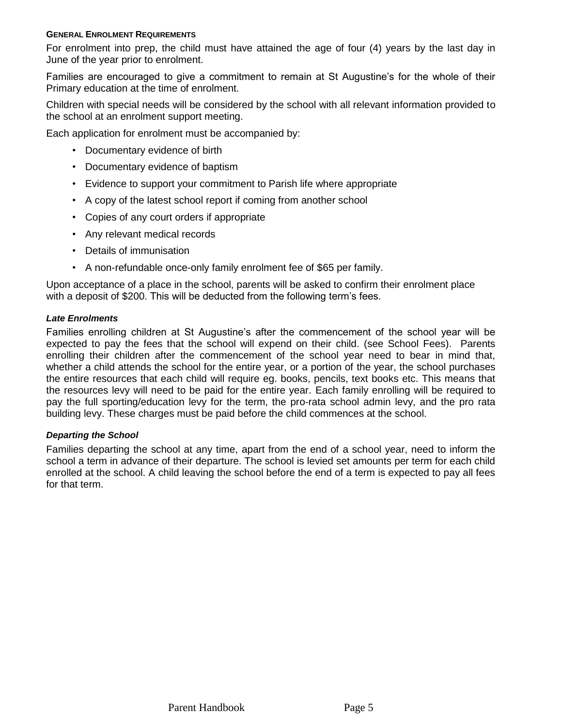#### **GENERAL ENROLMENT REQUIREMENTS**

For enrolment into prep, the child must have attained the age of four (4) years by the last day in June of the year prior to enrolment.

Families are encouraged to give a commitment to remain at St Augustine's for the whole of their Primary education at the time of enrolment.

Children with special needs will be considered by the school with all relevant information provided to the school at an enrolment support meeting.

Each application for enrolment must be accompanied by:

- Documentary evidence of birth
- Documentary evidence of baptism
- Evidence to support your commitment to Parish life where appropriate
- A copy of the latest school report if coming from another school
- Copies of any court orders if appropriate
- Any relevant medical records
- Details of immunisation
- A non-refundable once-only family enrolment fee of \$65 per family.

Upon acceptance of a place in the school, parents will be asked to confirm their enrolment place with a deposit of \$200. This will be deducted from the following term's fees.

## *Late Enrolments*

Families enrolling children at St Augustine's after the commencement of the school year will be expected to pay the fees that the school will expend on their child. (see School Fees). Parents enrolling their children after the commencement of the school year need to bear in mind that, whether a child attends the school for the entire year, or a portion of the year, the school purchases the entire resources that each child will require eg. books, pencils, text books etc. This means that the resources levy will need to be paid for the entire year. Each family enrolling will be required to pay the full sporting/education levy for the term, the pro-rata school admin levy, and the pro rata building levy. These charges must be paid before the child commences at the school.

### *Departing the School*

Families departing the school at any time, apart from the end of a school year, need to inform the school a term in advance of their departure. The school is levied set amounts per term for each child enrolled at the school. A child leaving the school before the end of a term is expected to pay all fees for that term.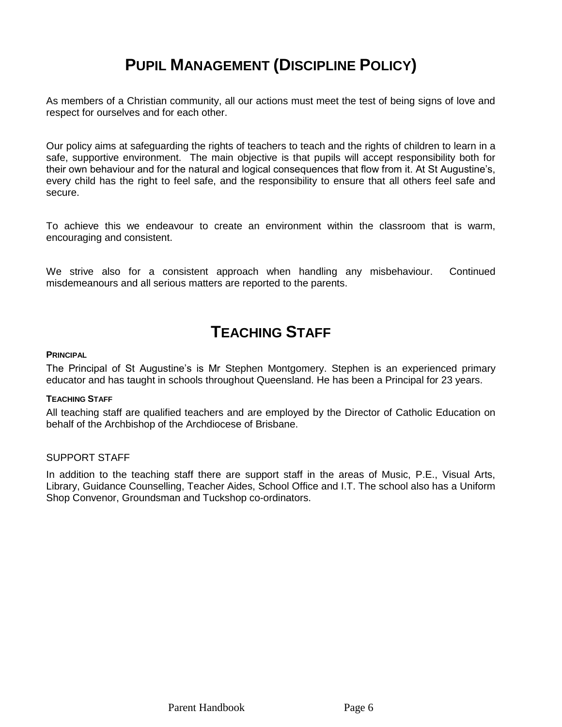# **PUPIL MANAGEMENT (DISCIPLINE POLICY)**

As members of a Christian community, all our actions must meet the test of being signs of love and respect for ourselves and for each other.

Our policy aims at safeguarding the rights of teachers to teach and the rights of children to learn in a safe, supportive environment. The main objective is that pupils will accept responsibility both for their own behaviour and for the natural and logical consequences that flow from it. At St Augustine's, every child has the right to feel safe, and the responsibility to ensure that all others feel safe and secure.

To achieve this we endeavour to create an environment within the classroom that is warm, encouraging and consistent.

We strive also for a consistent approach when handling any misbehaviour. Continued misdemeanours and all serious matters are reported to the parents.

# **TEACHING STAFF**

### **PRINCIPAL**

The Principal of St Augustine's is Mr Stephen Montgomery. Stephen is an experienced primary educator and has taught in schools throughout Queensland. He has been a Principal for 23 years.

## **TEACHING STAFF**

All teaching staff are qualified teachers and are employed by the Director of Catholic Education on behalf of the Archbishop of the Archdiocese of Brisbane.

### SUPPORT STAFF

In addition to the teaching staff there are support staff in the areas of Music, P.E., Visual Arts, Library, Guidance Counselling, Teacher Aides, School Office and I.T. The school also has a Uniform Shop Convenor, Groundsman and Tuckshop co-ordinators.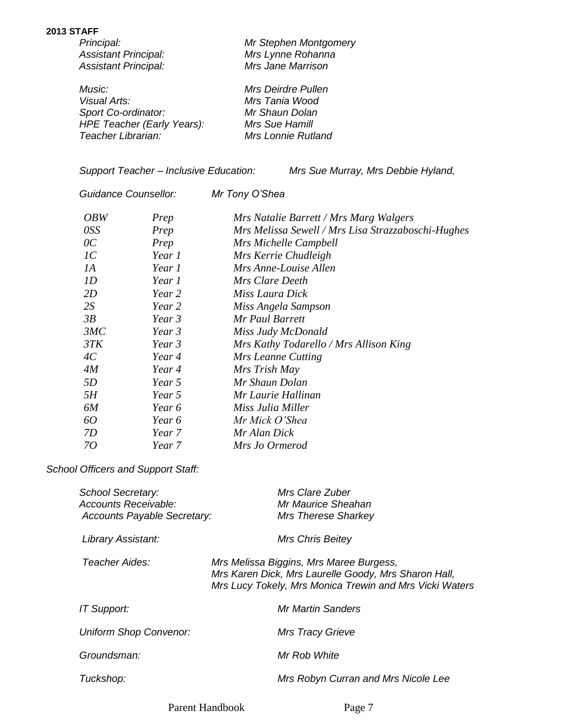#### **2013 STAFF**

| Principal:                        | Mr Stephen Montgomery     |
|-----------------------------------|---------------------------|
| <b>Assistant Principal:</b>       | Mrs Lynne Rohanna         |
| <b>Assistant Principal:</b>       | Mrs Jane Marrison         |
| <i>Music:</i>                     | Mrs Deirdre Pullen        |
| Visual Arts:                      | Mrs Tania Wood            |
| Sport Co-ordinator:               | Mr Shaun Dolan            |
| <b>HPE Teacher (Early Years):</b> | Mrs Sue Hamill            |
| Teacher Librarian:                | <b>Mrs Lonnie Rutland</b> |

*Support Teacher – Inclusive Education: Mrs Sue Murray, Mrs Debbie Hyland,* 

*Guidance Counsellor: Mr Tony O'Shea*

| <i>OBW</i>      | Prep   | Mrs Natalie Barrett / Mrs Marg Walgers             |
|-----------------|--------|----------------------------------------------------|
| <i>OSS</i>      | Prep   | Mrs Melissa Sewell / Mrs Lisa Strazzaboschi-Hughes |
| $\overline{OC}$ | Prep   | Mrs Michelle Campbell                              |
| 1C              | Year 1 | Mrs Kerrie Chudleigh                               |
| IA              | Year 1 | Mrs Anne-Louise Allen                              |
| 1D              | Year 1 | Mrs Clare Deeth                                    |
| 2D              | Year 2 | Miss Laura Dick                                    |
| 2S              | Year 2 | Miss Angela Sampson                                |
| 3B              | Year 3 | Mr Paul Barrett                                    |
| 3MC             | Year 3 | Miss Judy McDonald                                 |
| 3TK             | Year 3 | Mrs Kathy Todarello / Mrs Allison King             |
| 4C              | Year 4 | Mrs Leanne Cutting                                 |
| 4M              | Year 4 | Mrs Trish May                                      |
| <i>5D</i>       | Year 5 | Mr Shaun Dolan                                     |
| 5H              | Year 5 | Mr Laurie Hallinan                                 |
| 6M              | Year 6 | Miss Julia Miller                                  |
| 60              | Year 6 | Mr Mick O'Shea                                     |
| 7D              | Year 7 | Mr Alan Dick                                       |
| 70              | Year 7 | Mrs Jo Ormerod                                     |

*School Officers and Support Staff:*

| <b>School Secretary:</b><br>Accounts Receivable:<br><b>Accounts Payable Secretary:</b> | Mrs Clare Zuber<br>Mr Maurice Sheahan<br>Mrs Therese Sharkey                                                                                               |
|----------------------------------------------------------------------------------------|------------------------------------------------------------------------------------------------------------------------------------------------------------|
| Library Assistant:                                                                     | Mrs Chris Beitey                                                                                                                                           |
| Teacher Aides:                                                                         | Mrs Melissa Biggins, Mrs Maree Burgess,<br>Mrs Karen Dick, Mrs Laurelle Goody, Mrs Sharon Hall,<br>Mrs Lucy Tokely, Mrs Monica Trewin and Mrs Vicki Waters |
| <b>IT Support:</b>                                                                     | Mr Martin Sanders                                                                                                                                          |
| <b>Uniform Shop Convenor:</b>                                                          | <b>Mrs Tracy Grieve</b>                                                                                                                                    |
| Groundsman:                                                                            | Mr Rob White                                                                                                                                               |
| Tuckshop:                                                                              | Mrs Robyn Curran and Mrs Nicole Lee                                                                                                                        |
|                                                                                        |                                                                                                                                                            |

Parent Handbook Page 7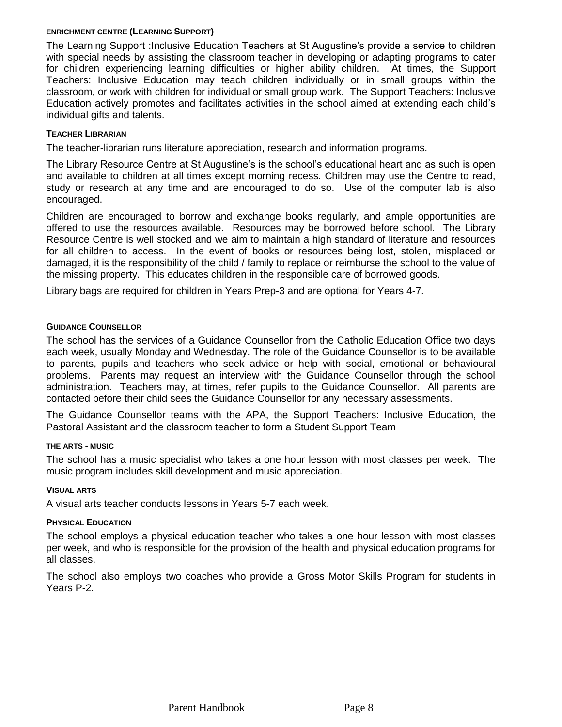#### **ENRICHMENT CENTRE (LEARNING SUPPORT)**

The Learning Support :Inclusive Education Teachers at St Augustine's provide a service to children with special needs by assisting the classroom teacher in developing or adapting programs to cater for children experiencing learning difficulties or higher ability children. At times, the Support Teachers: Inclusive Education may teach children individually or in small groups within the classroom, or work with children for individual or small group work. The Support Teachers: Inclusive Education actively promotes and facilitates activities in the school aimed at extending each child's individual gifts and talents.

### **TEACHER LIBRARIAN**

The teacher-librarian runs literature appreciation, research and information programs.

The Library Resource Centre at St Augustine's is the school's educational heart and as such is open and available to children at all times except morning recess. Children may use the Centre to read, study or research at any time and are encouraged to do so. Use of the computer lab is also encouraged.

Children are encouraged to borrow and exchange books regularly, and ample opportunities are offered to use the resources available. Resources may be borrowed before school. The Library Resource Centre is well stocked and we aim to maintain a high standard of literature and resources for all children to access. In the event of books or resources being lost, stolen, misplaced or damaged, it is the responsibility of the child / family to replace or reimburse the school to the value of the missing property. This educates children in the responsible care of borrowed goods.

Library bags are required for children in Years Prep-3 and are optional for Years 4-7.

### **GUIDANCE COUNSELLOR**

The school has the services of a Guidance Counsellor from the Catholic Education Office two days each week, usually Monday and Wednesday. The role of the Guidance Counsellor is to be available to parents, pupils and teachers who seek advice or help with social, emotional or behavioural problems. Parents may request an interview with the Guidance Counsellor through the school administration. Teachers may, at times, refer pupils to the Guidance Counsellor. All parents are contacted before their child sees the Guidance Counsellor for any necessary assessments.

The Guidance Counsellor teams with the APA, the Support Teachers: Inclusive Education, the Pastoral Assistant and the classroom teacher to form a Student Support Team

### **THE ARTS - MUSIC**

The school has a music specialist who takes a one hour lesson with most classes per week. The music program includes skill development and music appreciation.

### **VISUAL ARTS**

A visual arts teacher conducts lessons in Years 5-7 each week.

### **PHYSICAL EDUCATION**

The school employs a physical education teacher who takes a one hour lesson with most classes per week, and who is responsible for the provision of the health and physical education programs for all classes.

The school also employs two coaches who provide a Gross Motor Skills Program for students in Years P-2.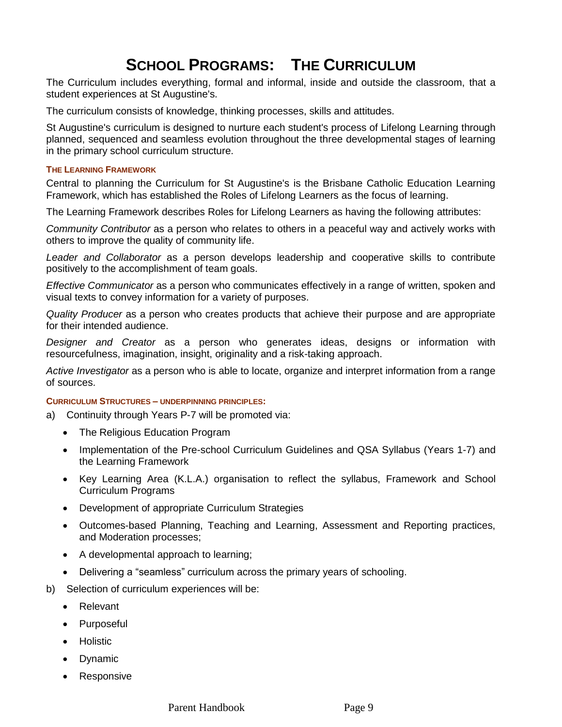# **SCHOOL PROGRAMS: THE CURRICULUM**

The Curriculum includes everything, formal and informal, inside and outside the classroom, that a student experiences at St Augustine's.

The curriculum consists of knowledge, thinking processes, skills and attitudes.

St Augustine's curriculum is designed to nurture each student's process of Lifelong Learning through planned, sequenced and seamless evolution throughout the three developmental stages of learning in the primary school curriculum structure.

#### **THE LEARNING FRAMEWORK**

Central to planning the Curriculum for St Augustine's is the Brisbane Catholic Education Learning Framework, which has established the Roles of Lifelong Learners as the focus of learning.

The Learning Framework describes Roles for Lifelong Learners as having the following attributes:

*Community Contributor* as a person who relates to others in a peaceful way and actively works with others to improve the quality of community life.

*Leader and Collaborator* as a person develops leadership and cooperative skills to contribute positively to the accomplishment of team goals.

*Effective Communicator* as a person who communicates effectively in a range of written, spoken and visual texts to convey information for a variety of purposes.

*Quality Producer* as a person who creates products that achieve their purpose and are appropriate for their intended audience.

*Designer and Creator* as a person who generates ideas, designs or information with resourcefulness, imagination, insight, originality and a risk-taking approach.

*Active Investigator* as a person who is able to locate, organize and interpret information from a range of sources.

#### **CURRICULUM STRUCTURES – UNDERPINNING PRINCIPLES:**

- a) Continuity through Years P-7 will be promoted via:
	- The Religious Education Program
	- Implementation of the Pre-school Curriculum Guidelines and QSA Syllabus (Years 1-7) and the Learning Framework
	- Key Learning Area (K.L.A.) organisation to reflect the syllabus, Framework and School Curriculum Programs
	- Development of appropriate Curriculum Strategies
	- Outcomes-based Planning, Teaching and Learning, Assessment and Reporting practices, and Moderation processes;
	- A developmental approach to learning;
	- Delivering a "seamless" curriculum across the primary years of schooling.
- b) Selection of curriculum experiences will be:
	- Relevant
	- Purposeful
	- **Holistic**
	- Dynamic
	- Responsive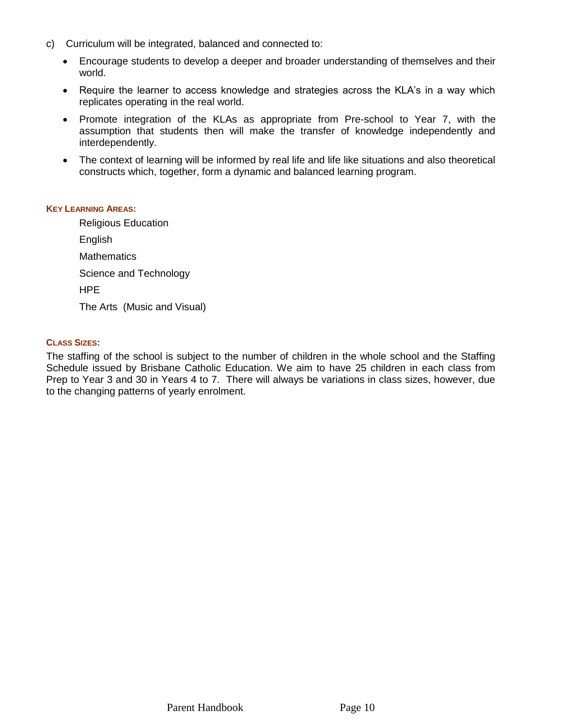- c) Curriculum will be integrated, balanced and connected to:
	- Encourage students to develop a deeper and broader understanding of themselves and their world.
	- Require the learner to access knowledge and strategies across the KLA's in a way which replicates operating in the real world.
	- Promote integration of the KLAs as appropriate from Pre-school to Year 7, with the assumption that students then will make the transfer of knowledge independently and interdependently.
	- The context of learning will be informed by real life and life like situations and also theoretical constructs which, together, form a dynamic and balanced learning program.

#### **KEY LEARNING AREAS:**

Religious Education English **Mathematics** Science and Technology HPE The Arts (Music and Visual)

# **CLASS SIZES:**

The staffing of the school is subject to the number of children in the whole school and the Staffing Schedule issued by Brisbane Catholic Education. We aim to have 25 children in each class from Prep to Year 3 and 30 in Years 4 to 7. There will always be variations in class sizes, however, due to the changing patterns of yearly enrolment.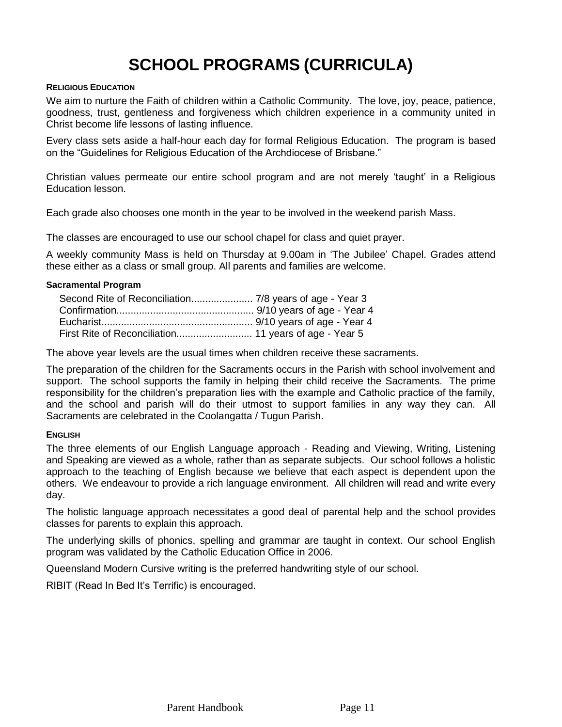# **SCHOOL PROGRAMS (CURRICULA)**

#### **RELIGIOUS EDUCATION**

We aim to nurture the Faith of children within a Catholic Community. The love, joy, peace, patience, goodness, trust, gentleness and forgiveness which children experience in a community united in Christ become life lessons of lasting influence.

Every class sets aside a half-hour each day for formal Religious Education. The program is based on the "Guidelines for Religious Education of the Archdiocese of Brisbane."

Christian values permeate our entire school program and are not merely 'taught' in a Religious Education lesson.

Each grade also chooses one month in the year to be involved in the weekend parish Mass.

The classes are encouraged to use our school chapel for class and quiet prayer.

A weekly community Mass is held on Thursday at 9.00am in 'The Jubilee' Chapel. Grades attend these either as a class or small group. All parents and families are welcome.

### **Sacramental Program**

The above year levels are the usual times when children receive these sacraments.

The preparation of the children for the Sacraments occurs in the Parish with school involvement and support. The school supports the family in helping their child receive the Sacraments. The prime responsibility for the children's preparation lies with the example and Catholic practice of the family, and the school and parish will do their utmost to support families in any way they can. All Sacraments are celebrated in the Coolangatta / Tugun Parish.

# **ENGLISH**

The three elements of our English Language approach - Reading and Viewing, Writing, Listening and Speaking are viewed as a whole, rather than as separate subjects. Our school follows a holistic approach to the teaching of English because we believe that each aspect is dependent upon the others. We endeavour to provide a rich language environment. All children will read and write every day.

The holistic language approach necessitates a good deal of parental help and the school provides classes for parents to explain this approach.

The underlying skills of phonics, spelling and grammar are taught in context. Our school English program was validated by the Catholic Education Office in 2006.

Queensland Modern Cursive writing is the preferred handwriting style of our school.

RIBIT (Read In Bed It's Terrific) is encouraged.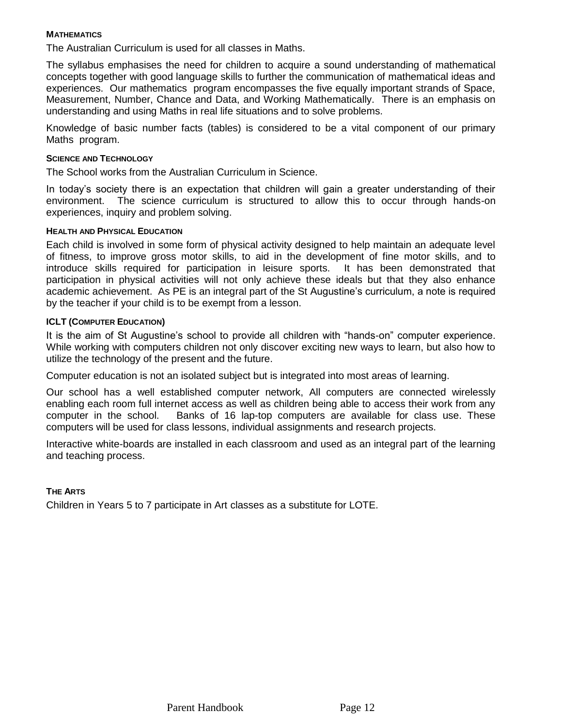# **MATHEMATICS**

The Australian Curriculum is used for all classes in Maths.

The syllabus emphasises the need for children to acquire a sound understanding of mathematical concepts together with good language skills to further the communication of mathematical ideas and experiences. Our mathematics program encompasses the five equally important strands of Space, Measurement, Number, Chance and Data, and Working Mathematically. There is an emphasis on understanding and using Maths in real life situations and to solve problems.

Knowledge of basic number facts (tables) is considered to be a vital component of our primary Maths program.

#### **SCIENCE AND TECHNOLOGY**

The School works from the Australian Curriculum in Science.

In today's society there is an expectation that children will gain a greater understanding of their environment. The science curriculum is structured to allow this to occur through hands-on experiences, inquiry and problem solving.

#### **HEALTH AND PHYSICAL EDUCATION**

Each child is involved in some form of physical activity designed to help maintain an adequate level of fitness, to improve gross motor skills, to aid in the development of fine motor skills, and to introduce skills required for participation in leisure sports. It has been demonstrated that participation in physical activities will not only achieve these ideals but that they also enhance academic achievement. As PE is an integral part of the St Augustine's curriculum, a note is required by the teacher if your child is to be exempt from a lesson.

### **ICLT (COMPUTER EDUCATION)**

It is the aim of St Augustine's school to provide all children with "hands-on" computer experience. While working with computers children not only discover exciting new ways to learn, but also how to utilize the technology of the present and the future.

Computer education is not an isolated subject but is integrated into most areas of learning.

Our school has a well established computer network, All computers are connected wirelessly enabling each room full internet access as well as children being able to access their work from any computer in the school. Banks of 16 lap-top computers are available for class use. These computers will be used for class lessons, individual assignments and research projects.

Interactive white-boards are installed in each classroom and used as an integral part of the learning and teaching process.

### **THE ARTS**

Children in Years 5 to 7 participate in Art classes as a substitute for LOTE.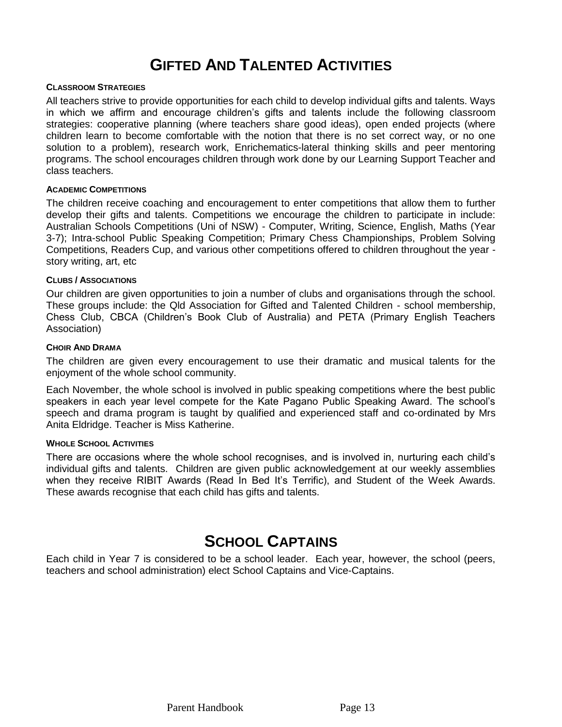# **GIFTED AND TALENTED ACTIVITIES**

#### **CLASSROOM STRATEGIES**

All teachers strive to provide opportunities for each child to develop individual gifts and talents. Ways in which we affirm and encourage children's gifts and talents include the following classroom strategies: cooperative planning (where teachers share good ideas), open ended projects (where children learn to become comfortable with the notion that there is no set correct way, or no one solution to a problem), research work, Enrichematics-lateral thinking skills and peer mentoring programs. The school encourages children through work done by our Learning Support Teacher and class teachers.

#### **ACADEMIC COMPETITIONS**

The children receive coaching and encouragement to enter competitions that allow them to further develop their gifts and talents. Competitions we encourage the children to participate in include: Australian Schools Competitions (Uni of NSW) - Computer, Writing, Science, English, Maths (Year 3-7); Intra-school Public Speaking Competition; Primary Chess Championships, Problem Solving Competitions, Readers Cup, and various other competitions offered to children throughout the year story writing, art, etc

#### **CLUBS / ASSOCIATIONS**

Our children are given opportunities to join a number of clubs and organisations through the school. These groups include: the Qld Association for Gifted and Talented Children - school membership, Chess Club, CBCA (Children's Book Club of Australia) and PETA (Primary English Teachers Association)

#### **CHOIR AND DRAMA**

The children are given every encouragement to use their dramatic and musical talents for the enjoyment of the whole school community.

Each November, the whole school is involved in public speaking competitions where the best public speakers in each year level compete for the Kate Pagano Public Speaking Award. The school's speech and drama program is taught by qualified and experienced staff and co-ordinated by Mrs Anita Eldridge. Teacher is Miss Katherine.

#### **WHOLE SCHOOL ACTIVITIES**

There are occasions where the whole school recognises, and is involved in, nurturing each child's individual gifts and talents. Children are given public acknowledgement at our weekly assemblies when they receive RIBIT Awards (Read In Bed It's Terrific), and Student of the Week Awards. These awards recognise that each child has gifts and talents.

# **SCHOOL CAPTAINS**

Each child in Year 7 is considered to be a school leader. Each year, however, the school (peers, teachers and school administration) elect School Captains and Vice-Captains.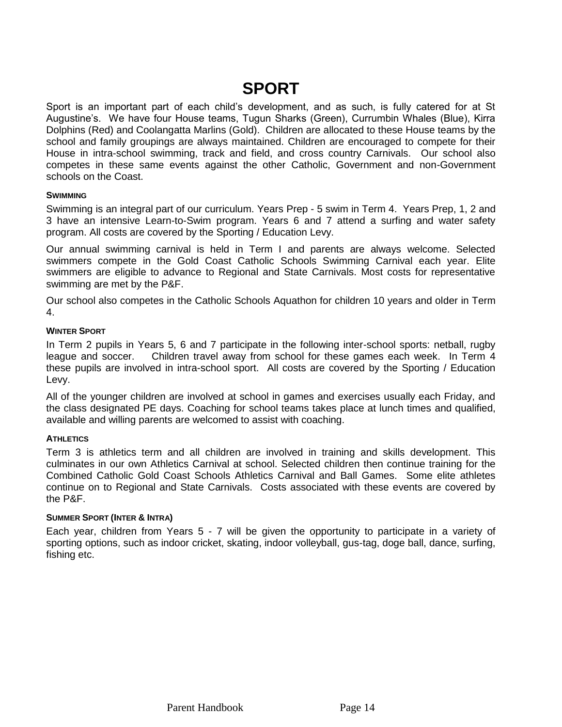# **SPORT**

Sport is an important part of each child's development, and as such, is fully catered for at St Augustine's. We have four House teams, Tugun Sharks (Green), Currumbin Whales (Blue), Kirra Dolphins (Red) and Coolangatta Marlins (Gold). Children are allocated to these House teams by the school and family groupings are always maintained. Children are encouraged to compete for their House in intra-school swimming, track and field, and cross country Carnivals. Our school also competes in these same events against the other Catholic, Government and non-Government schools on the Coast.

# **SWIMMING**

Swimming is an integral part of our curriculum. Years Prep - 5 swim in Term 4. Years Prep, 1, 2 and 3 have an intensive Learn-to-Swim program. Years 6 and 7 attend a surfing and water safety program. All costs are covered by the Sporting / Education Levy.

Our annual swimming carnival is held in Term I and parents are always welcome. Selected swimmers compete in the Gold Coast Catholic Schools Swimming Carnival each year. Elite swimmers are eligible to advance to Regional and State Carnivals. Most costs for representative swimming are met by the P&F.

Our school also competes in the Catholic Schools Aquathon for children 10 years and older in Term 4.

# **WINTER SPORT**

In Term 2 pupils in Years 5, 6 and 7 participate in the following inter-school sports: netball, rugby league and soccer. Children travel away from school for these games each week. In Term 4 these pupils are involved in intra-school sport. All costs are covered by the Sporting / Education Levy.

All of the younger children are involved at school in games and exercises usually each Friday, and the class designated PE days. Coaching for school teams takes place at lunch times and qualified, available and willing parents are welcomed to assist with coaching.

### **ATHLETICS**

Term 3 is athletics term and all children are involved in training and skills development. This culminates in our own Athletics Carnival at school. Selected children then continue training for the Combined Catholic Gold Coast Schools Athletics Carnival and Ball Games. Some elite athletes continue on to Regional and State Carnivals. Costs associated with these events are covered by the P&F.

### **SUMMER SPORT (INTER & INTRA)**

Each year, children from Years 5 - 7 will be given the opportunity to participate in a variety of sporting options, such as indoor cricket, skating, indoor volleyball, gus-tag, doge ball, dance, surfing, fishing etc.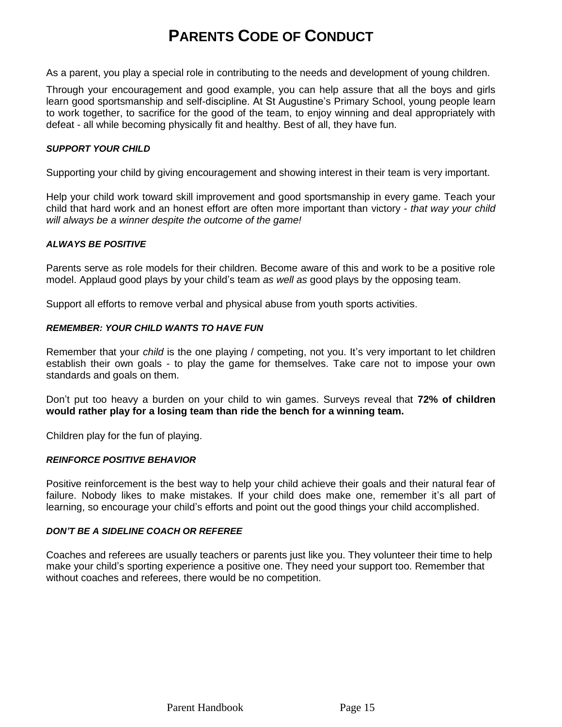# **PARENTS CODE OF CONDUCT**

As a parent, you play a special role in contributing to the needs and development of young children.

Through your encouragement and good example, you can help assure that all the boys and girls learn good sportsmanship and self-discipline. At St Augustine's Primary School, young people learn to work together, to sacrifice for the good of the team, to enjoy winning and deal appropriately with defeat - all while becoming physically fit and healthy. Best of all, they have fun.

### *SUPPORT YOUR CHILD*

Supporting your child by giving encouragement and showing interest in their team is very important.

Help your child work toward skill improvement and good sportsmanship in every game. Teach your child that hard work and an honest effort are often more important than victory - *that way your child will always be a winner despite the outcome of the game!*

#### *ALWAYS BE POSITIVE*

Parents serve as role models for their children. Become aware of this and work to be a positive role model. Applaud good plays by your child's team *as well as* good plays by the opposing team.

Support all efforts to remove verbal and physical abuse from youth sports activities.

#### *REMEMBER: YOUR CHILD WANTS TO HAVE FUN*

Remember that your *child* is the one playing / competing, not you. It's very important to let children establish their own goals - to play the game for themselves. Take care not to impose your own standards and goals on them.

Don't put too heavy a burden on your child to win games. Surveys reveal that **72% of children would rather play for a losing team than ride the bench for a winning team.**

Children play for the fun of playing.

#### *REINFORCE POSITIVE BEHAVIOR*

Positive reinforcement is the best way to help your child achieve their goals and their natural fear of failure. Nobody likes to make mistakes. If your child does make one, remember it's all part of learning, so encourage your child's efforts and point out the good things your child accomplished.

#### *DON'T BE A SIDELINE COACH OR REFEREE*

Coaches and referees are usually teachers or parents just like you. They volunteer their time to help make your child's sporting experience a positive one. They need your support too. Remember that without coaches and referees, there would be no competition.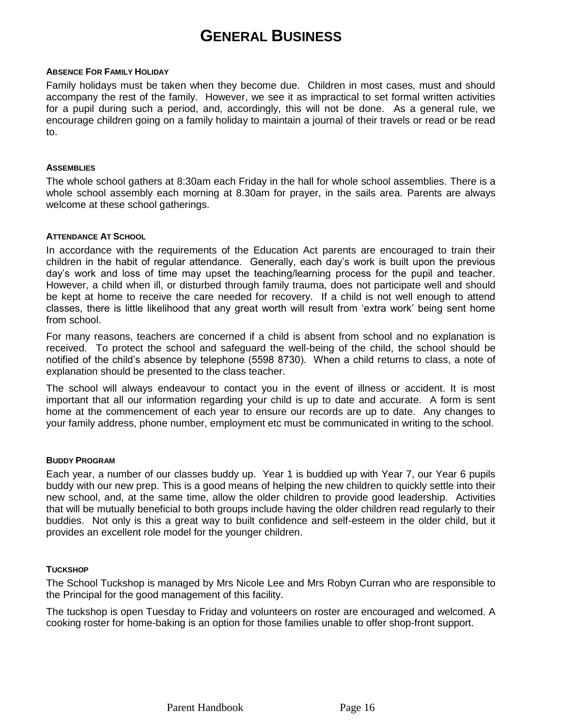# **GENERAL BUSINESS**

#### **ABSENCE FOR FAMILY HOLIDAY**

Family holidays must be taken when they become due. Children in most cases, must and should accompany the rest of the family. However, we see it as impractical to set formal written activities for a pupil during such a period, and, accordingly, this will not be done. As a general rule, we encourage children going on a family holiday to maintain a journal of their travels or read or be read to.

#### **ASSEMBLIES**

The whole school gathers at 8:30am each Friday in the hall for whole school assemblies. There is a whole school assembly each morning at 8.30am for prayer, in the sails area. Parents are always welcome at these school gatherings.

# **ATTENDANCE AT SCHOOL**

In accordance with the requirements of the Education Act parents are encouraged to train their children in the habit of regular attendance. Generally, each day's work is built upon the previous day's work and loss of time may upset the teaching/learning process for the pupil and teacher. However, a child when ill, or disturbed through family trauma, does not participate well and should be kept at home to receive the care needed for recovery. If a child is not well enough to attend classes, there is little likelihood that any great worth will result from 'extra work' being sent home from school.

For many reasons, teachers are concerned if a child is absent from school and no explanation is received. To protect the school and safeguard the well-being of the child, the school should be notified of the child's absence by telephone (5598 8730). When a child returns to class, a note of explanation should be presented to the class teacher.

The school will always endeavour to contact you in the event of illness or accident. It is most important that all our information regarding your child is up to date and accurate. A form is sent home at the commencement of each year to ensure our records are up to date. Any changes to your family address, phone number, employment etc must be communicated in writing to the school.

#### **BUDDY PROGRAM**

Each year, a number of our classes buddy up. Year 1 is buddied up with Year 7, our Year 6 pupils buddy with our new prep. This is a good means of helping the new children to quickly settle into their new school, and, at the same time, allow the older children to provide good leadership. Activities that will be mutually beneficial to both groups include having the older children read regularly to their buddies. Not only is this a great way to built confidence and self-esteem in the older child, but it provides an excellent role model for the younger children.

### **TUCKSHOP**

The School Tuckshop is managed by Mrs Nicole Lee and Mrs Robyn Curran who are responsible to the Principal for the good management of this facility.

The tuckshop is open Tuesday to Friday and volunteers on roster are encouraged and welcomed. A cooking roster for home-baking is an option for those families unable to offer shop-front support.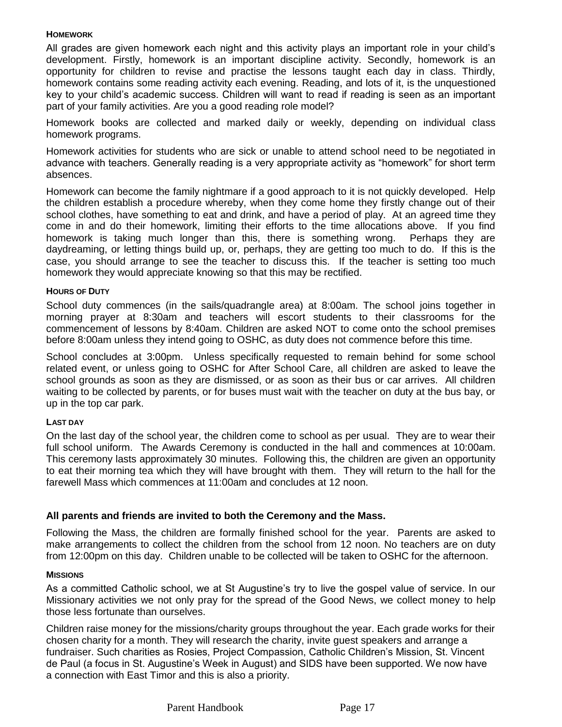## **HOMEWORK**

All grades are given homework each night and this activity plays an important role in your child's development. Firstly, homework is an important discipline activity. Secondly, homework is an opportunity for children to revise and practise the lessons taught each day in class. Thirdly, homework contains some reading activity each evening. Reading, and lots of it, is the unquestioned key to your child's academic success. Children will want to read if reading is seen as an important part of your family activities. Are you a good reading role model?

Homework books are collected and marked daily or weekly, depending on individual class homework programs.

Homework activities for students who are sick or unable to attend school need to be negotiated in advance with teachers. Generally reading is a very appropriate activity as "homework" for short term absences.

Homework can become the family nightmare if a good approach to it is not quickly developed. Help the children establish a procedure whereby, when they come home they firstly change out of their school clothes, have something to eat and drink, and have a period of play. At an agreed time they come in and do their homework, limiting their efforts to the time allocations above. If you find homework is taking much longer than this, there is something wrong. Perhaps they are daydreaming, or letting things build up, or, perhaps, they are getting too much to do. If this is the case, you should arrange to see the teacher to discuss this. If the teacher is setting too much homework they would appreciate knowing so that this may be rectified.

# **HOURS OF DUTY**

School duty commences (in the sails/quadrangle area) at 8:00am. The school joins together in morning prayer at 8:30am and teachers will escort students to their classrooms for the commencement of lessons by 8:40am. Children are asked NOT to come onto the school premises before 8:00am unless they intend going to OSHC, as duty does not commence before this time.

School concludes at 3:00pm. Unless specifically requested to remain behind for some school related event, or unless going to OSHC for After School Care, all children are asked to leave the school grounds as soon as they are dismissed, or as soon as their bus or car arrives. All children waiting to be collected by parents, or for buses must wait with the teacher on duty at the bus bay, or up in the top car park.

# **LAST DAY**

On the last day of the school year, the children come to school as per usual. They are to wear their full school uniform. The Awards Ceremony is conducted in the hall and commences at 10:00am. This ceremony lasts approximately 30 minutes. Following this, the children are given an opportunity to eat their morning tea which they will have brought with them. They will return to the hall for the farewell Mass which commences at 11:00am and concludes at 12 noon.

# **All parents and friends are invited to both the Ceremony and the Mass.**

Following the Mass, the children are formally finished school for the year. Parents are asked to make arrangements to collect the children from the school from 12 noon. No teachers are on duty from 12:00pm on this day. Children unable to be collected will be taken to OSHC for the afternoon.

### **MISSIONS**

As a committed Catholic school, we at St Augustine's try to live the gospel value of service. In our Missionary activities we not only pray for the spread of the Good News, we collect money to help those less fortunate than ourselves.

Children raise money for the missions/charity groups throughout the year. Each grade works for their chosen charity for a month. They will research the charity, invite guest speakers and arrange a fundraiser. Such charities as Rosies, Project Compassion, Catholic Children's Mission, St. Vincent de Paul (a focus in St. Augustine's Week in August) and SIDS have been supported. We now have a connection with East Timor and this is also a priority.

Parent Handbook Page 17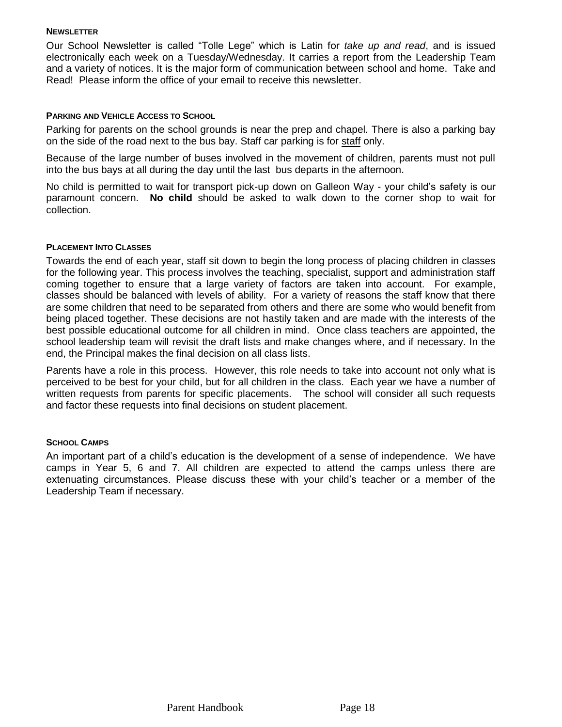### **NEWSLETTER**

Our School Newsletter is called "Tolle Lege" which is Latin for *take up and read*, and is issued electronically each week on a Tuesday/Wednesday. It carries a report from the Leadership Team and a variety of notices. It is the major form of communication between school and home. Take and Read! Please inform the office of your email to receive this newsletter.

### **PARKING AND VEHICLE ACCESS TO SCHOOL**

Parking for parents on the school grounds is near the prep and chapel. There is also a parking bay on the side of the road next to the bus bay. Staff car parking is for staff only.

Because of the large number of buses involved in the movement of children, parents must not pull into the bus bays at all during the day until the last bus departs in the afternoon.

No child is permitted to wait for transport pick-up down on Galleon Way - your child's safety is our paramount concern. **No child** should be asked to walk down to the corner shop to wait for collection.

### **PLACEMENT INTO CLASSES**

Towards the end of each year, staff sit down to begin the long process of placing children in classes for the following year. This process involves the teaching, specialist, support and administration staff coming together to ensure that a large variety of factors are taken into account. For example, classes should be balanced with levels of ability. For a variety of reasons the staff know that there are some children that need to be separated from others and there are some who would benefit from being placed together. These decisions are not hastily taken and are made with the interests of the best possible educational outcome for all children in mind. Once class teachers are appointed, the school leadership team will revisit the draft lists and make changes where, and if necessary. In the end, the Principal makes the final decision on all class lists.

Parents have a role in this process. However, this role needs to take into account not only what is perceived to be best for your child, but for all children in the class. Each year we have a number of written requests from parents for specific placements. The school will consider all such requests and factor these requests into final decisions on student placement.

### **SCHOOL CAMPS**

An important part of a child's education is the development of a sense of independence. We have camps in Year 5, 6 and 7. All children are expected to attend the camps unless there are extenuating circumstances. Please discuss these with your child's teacher or a member of the Leadership Team if necessary.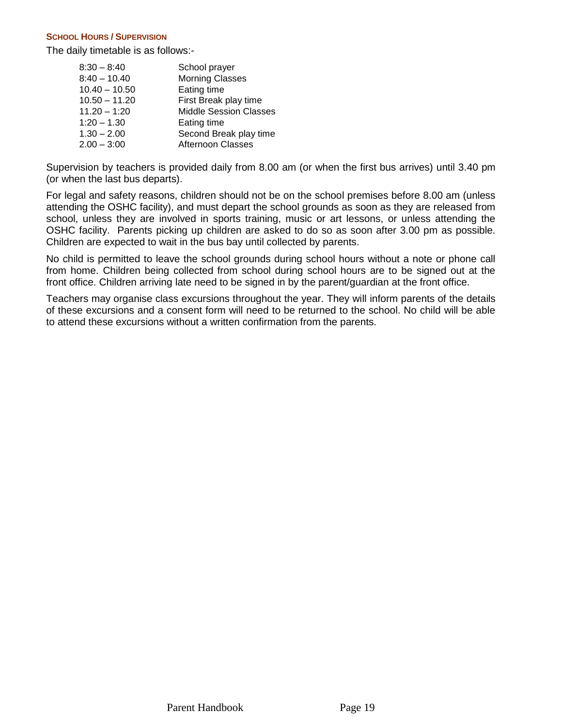#### **SCHOOL HOURS / SUPERVISION**

The daily timetable is as follows:-

| $8:30 - 8:40$   | School prayer                 |
|-----------------|-------------------------------|
| $8:40 - 10.40$  | <b>Morning Classes</b>        |
| $10.40 - 10.50$ | Eating time                   |
| $10.50 - 11.20$ | First Break play time         |
| $11.20 - 1:20$  | <b>Middle Session Classes</b> |
| $1:20 - 1.30$   | Eating time                   |
| $1.30 - 2.00$   | Second Break play time        |
| $2.00 - 3:00$   | <b>Afternoon Classes</b>      |

Supervision by teachers is provided daily from 8.00 am (or when the first bus arrives) until 3.40 pm (or when the last bus departs).

For legal and safety reasons, children should not be on the school premises before 8.00 am (unless attending the OSHC facility), and must depart the school grounds as soon as they are released from school, unless they are involved in sports training, music or art lessons, or unless attending the OSHC facility. Parents picking up children are asked to do so as soon after 3.00 pm as possible. Children are expected to wait in the bus bay until collected by parents.

No child is permitted to leave the school grounds during school hours without a note or phone call from home. Children being collected from school during school hours are to be signed out at the front office. Children arriving late need to be signed in by the parent/guardian at the front office.

Teachers may organise class excursions throughout the year. They will inform parents of the details of these excursions and a consent form will need to be returned to the school. No child will be able to attend these excursions without a written confirmation from the parents.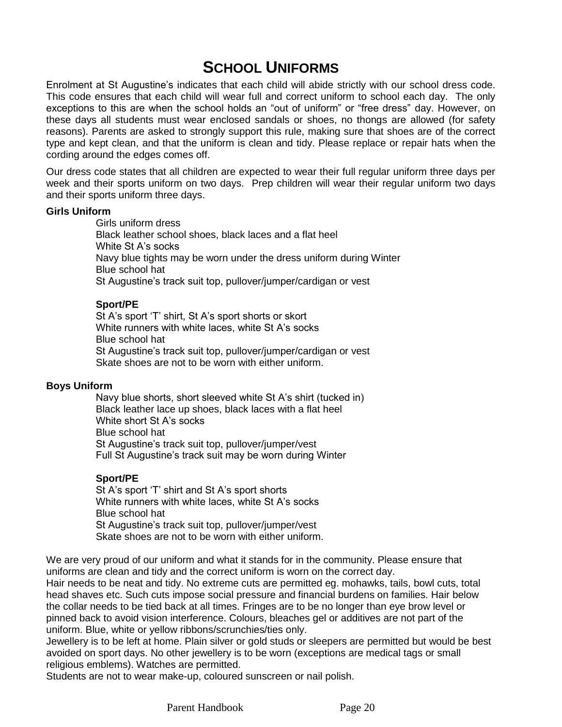# **SCHOOL UNIFORMS**

Enrolment at St Augustine's indicates that each child will abide strictly with our school dress code. This code ensures that each child will wear full and correct uniform to school each day. The only exceptions to this are when the school holds an "out of uniform" or "free dress" day. However, on these days all students must wear enclosed sandals or shoes, no thongs are allowed (for safety reasons). Parents are asked to strongly support this rule, making sure that shoes are of the correct type and kept clean, and that the uniform is clean and tidy. Please replace or repair hats when the cording around the edges comes off.

Our dress code states that all children are expected to wear their full regular uniform three days per week and their sports uniform on two days. Prep children will wear their regular uniform two days and their sports uniform three days.

### **Girls Uniform**

Girls uniform dress Black leather school shoes, black laces and a flat heel White St A's socks Navy blue tights may be worn under the dress uniform during Winter Blue school hat St Augustine's track suit top, pullover/jumper/cardigan or vest

# **Sport/PE**

St A's sport 'T' shirt, St A's sport shorts or skort White runners with white laces, white St A's socks Blue school hat St Augustine's track suit top, pullover/jumper/cardigan or vest Skate shoes are not to be worn with either uniform.

### **Boys Uniform**

Navy blue shorts, short sleeved white St A's shirt (tucked in) Black leather lace up shoes, black laces with a flat heel White short St A's socks Blue school hat St Augustine's track suit top, pullover/jumper/vest Full St Augustine's track suit may be worn during Winter

### **Sport/PE**

St A's sport 'T' shirt and St A's sport shorts White runners with white laces, white St A's socks Blue school hat St Augustine's track suit top, pullover/jumper/vest Skate shoes are not to be worn with either uniform.

We are very proud of our uniform and what it stands for in the community. Please ensure that uniforms are clean and tidy and the correct uniform is worn on the correct day.

Hair needs to be neat and tidy. No extreme cuts are permitted eg. mohawks, tails, bowl cuts, total head shaves etc. Such cuts impose social pressure and financial burdens on families. Hair below the collar needs to be tied back at all times. Fringes are to be no longer than eye brow level or pinned back to avoid vision interference. Colours, bleaches gel or additives are not part of the uniform. Blue, white or yellow ribbons/scrunchies/ties only.

Jewellery is to be left at home. Plain silver or gold studs or sleepers are permitted but would be best avoided on sport days. No other jewellery is to be worn (exceptions are medical tags or small religious emblems). Watches are permitted.

Students are not to wear make-up, coloured sunscreen or nail polish.

Parent Handbook Page 20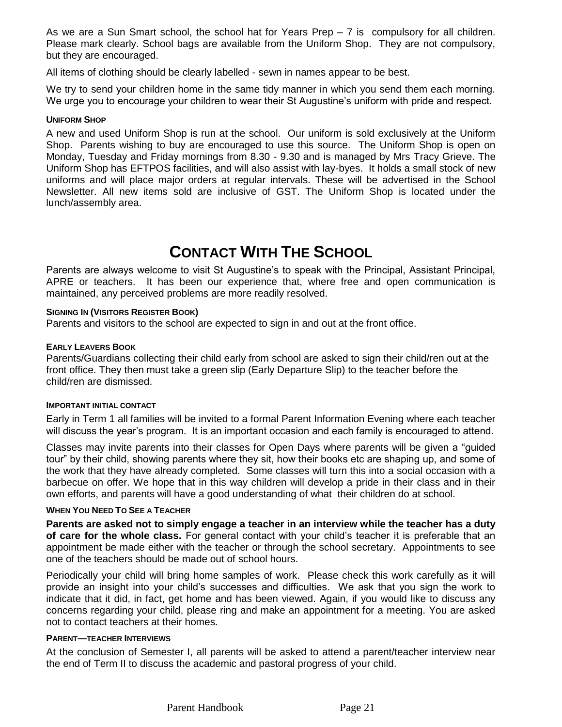As we are a Sun Smart school, the school hat for Years Prep – 7 is compulsory for all children. Please mark clearly. School bags are available from the Uniform Shop. They are not compulsory, but they are encouraged.

All items of clothing should be clearly labelled - sewn in names appear to be best.

We try to send your children home in the same tidy manner in which you send them each morning. We urge you to encourage your children to wear their St Augustine's uniform with pride and respect.

### **UNIFORM SHOP**

A new and used Uniform Shop is run at the school. Our uniform is sold exclusively at the Uniform Shop. Parents wishing to buy are encouraged to use this source. The Uniform Shop is open on Monday, Tuesday and Friday mornings from 8.30 - 9.30 and is managed by Mrs Tracy Grieve. The Uniform Shop has EFTPOS facilities, and will also assist with lay-byes. It holds a small stock of new uniforms and will place major orders at regular intervals. These will be advertised in the School Newsletter. All new items sold are inclusive of GST. The Uniform Shop is located under the lunch/assembly area.

# **CONTACT WITH THE SCHOOL**

Parents are always welcome to visit St Augustine's to speak with the Principal, Assistant Principal, APRE or teachers. It has been our experience that, where free and open communication is maintained, any perceived problems are more readily resolved.

#### **SIGNING IN (VISITORS REGISTER BOOK)**

Parents and visitors to the school are expected to sign in and out at the front office.

### **EARLY LEAVERS BOOK**

Parents/Guardians collecting their child early from school are asked to sign their child/ren out at the front office. They then must take a green slip (Early Departure Slip) to the teacher before the child/ren are dismissed.

### **IMPORTANT INITIAL CONTACT**

Early in Term 1 all families will be invited to a formal Parent Information Evening where each teacher will discuss the year's program. It is an important occasion and each family is encouraged to attend.

Classes may invite parents into their classes for Open Days where parents will be given a "guided tour" by their child, showing parents where they sit, how their books etc are shaping up, and some of the work that they have already completed. Some classes will turn this into a social occasion with a barbecue on offer. We hope that in this way children will develop a pride in their class and in their own efforts, and parents will have a good understanding of what their children do at school.

## **WHEN YOU NEED TO SEE A TEACHER**

**Parents are asked not to simply engage a teacher in an interview while the teacher has a duty of care for the whole class.** For general contact with your child's teacher it is preferable that an appointment be made either with the teacher or through the school secretary. Appointments to see one of the teachers should be made out of school hours.

Periodically your child will bring home samples of work. Please check this work carefully as it will provide an insight into your child's successes and difficulties. We ask that you sign the work to indicate that it did, in fact, get home and has been viewed. Again, if you would like to discuss any concerns regarding your child, please ring and make an appointment for a meeting. You are asked not to contact teachers at their homes.

### **PARENT—TEACHER INTERVIEWS**

At the conclusion of Semester I, all parents will be asked to attend a parent/teacher interview near the end of Term II to discuss the academic and pastoral progress of your child.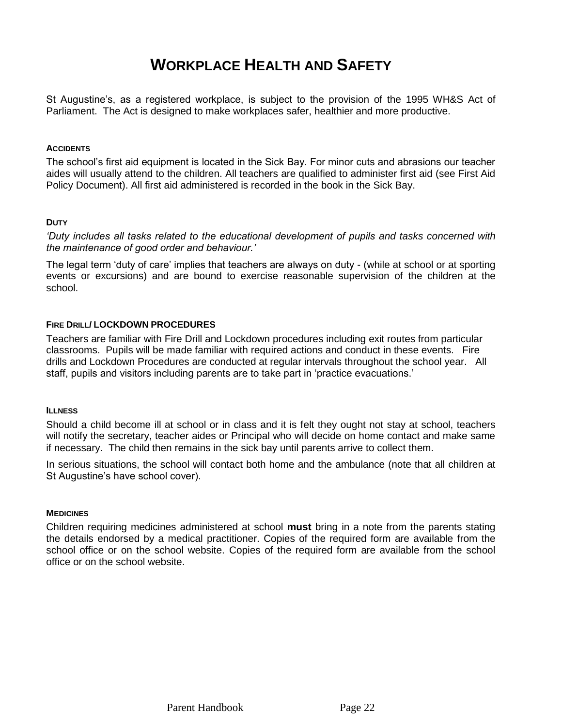# **WORKPLACE HEALTH AND SAFETY**

St Augustine's, as a registered workplace, is subject to the provision of the 1995 WH&S Act of Parliament. The Act is designed to make workplaces safer, healthier and more productive.

### **ACCIDENTS**

The school's first aid equipment is located in the Sick Bay. For minor cuts and abrasions our teacher aides will usually attend to the children. All teachers are qualified to administer first aid (see First Aid Policy Document). All first aid administered is recorded in the book in the Sick Bay.

# **DUTY**

*'Duty includes all tasks related to the educational development of pupils and tasks concerned with the maintenance of good order and behaviour.'*

The legal term 'duty of care' implies that teachers are always on duty - (while at school or at sporting events or excursions) and are bound to exercise reasonable supervision of the children at the school.

### **FIRE DRILL/ LOCKDOWN PROCEDURES**

Teachers are familiar with Fire Drill and Lockdown procedures including exit routes from particular classrooms. Pupils will be made familiar with required actions and conduct in these events. Fire drills and Lockdown Procedures are conducted at regular intervals throughout the school year. All staff, pupils and visitors including parents are to take part in 'practice evacuations.'

### **ILLNESS**

Should a child become ill at school or in class and it is felt they ought not stay at school, teachers will notify the secretary, teacher aides or Principal who will decide on home contact and make same if necessary. The child then remains in the sick bay until parents arrive to collect them.

In serious situations, the school will contact both home and the ambulance (note that all children at St Augustine's have school cover).

### **MEDICINES**

Children requiring medicines administered at school **must** bring in a note from the parents stating the details endorsed by a medical practitioner. Copies of the required form are available from the school office or on the school website. Copies of the required form are available from the school office or on the school website.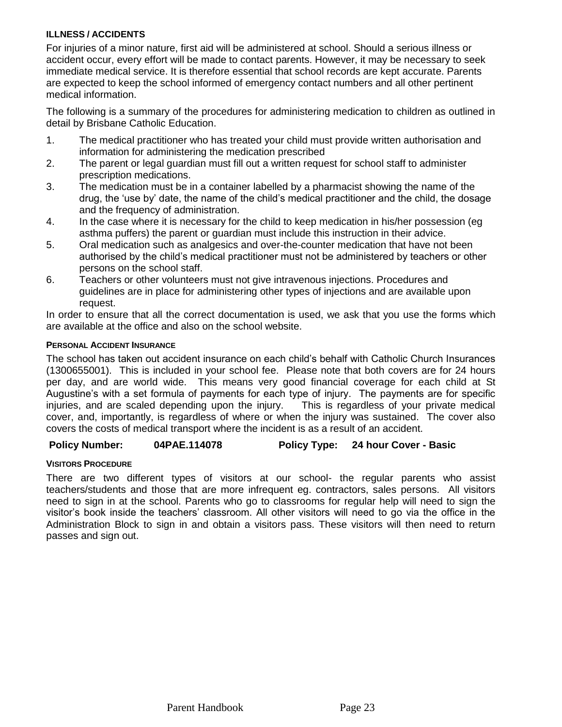# **ILLNESS / ACCIDENTS**

For injuries of a minor nature, first aid will be administered at school. Should a serious illness or accident occur, every effort will be made to contact parents. However, it may be necessary to seek immediate medical service. It is therefore essential that school records are kept accurate. Parents are expected to keep the school informed of emergency contact numbers and all other pertinent medical information.

The following is a summary of the procedures for administering medication to children as outlined in detail by Brisbane Catholic Education.

- 1. The medical practitioner who has treated your child must provide written authorisation and information for administering the medication prescribed
- 2. The parent or legal guardian must fill out a written request for school staff to administer prescription medications.
- 3. The medication must be in a container labelled by a pharmacist showing the name of the drug, the 'use by' date, the name of the child's medical practitioner and the child, the dosage and the frequency of administration.
- 4. In the case where it is necessary for the child to keep medication in his/her possession (eg asthma puffers) the parent or guardian must include this instruction in their advice.
- 5. Oral medication such as analgesics and over-the-counter medication that have not been authorised by the child's medical practitioner must not be administered by teachers or other persons on the school staff.
- 6. Teachers or other volunteers must not give intravenous injections. Procedures and guidelines are in place for administering other types of injections and are available upon request.

In order to ensure that all the correct documentation is used, we ask that you use the forms which are available at the office and also on the school website.

# **PERSONAL ACCIDENT INSURANCE**

The school has taken out accident insurance on each child's behalf with Catholic Church Insurances (1300655001). This is included in your school fee. Please note that both covers are for 24 hours per day, and are world wide. This means very good financial coverage for each child at St Augustine's with a set formula of payments for each type of injury. The payments are for specific injuries, and are scaled depending upon the injury. This is regardless of your private medical cover, and, importantly, is regardless of where or when the injury was sustained. The cover also covers the costs of medical transport where the incident is as a result of an accident.

# **Policy Number: 04PAE.114078 Policy Type: 24 hour Cover - Basic**

# **VISITORS PROCEDURE**

There are two different types of visitors at our school- the regular parents who assist teachers/students and those that are more infrequent eg. contractors, sales persons. All visitors need to sign in at the school. Parents who go to classrooms for regular help will need to sign the visitor's book inside the teachers' classroom. All other visitors will need to go via the office in the Administration Block to sign in and obtain a visitors pass. These visitors will then need to return passes and sign out.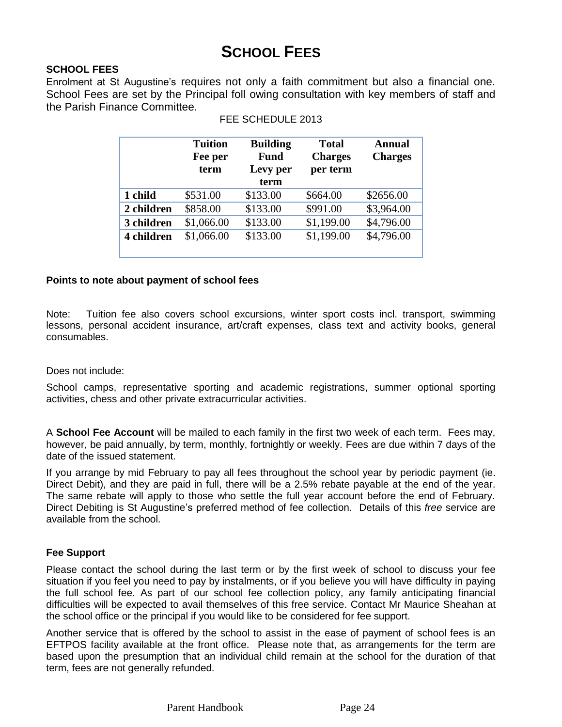# **SCHOOL FEES**

# **SCHOOL FEES**

Enrolment at St Augustine's requires not only a faith commitment but also a financial one. School Fees are set by the Principal foll owing consultation with key members of staff and the Parish Finance Committee.

|            | <b>Tuition</b><br>Fee per<br>term | <b>Building</b><br><b>Fund</b><br>Levy per<br>term | <b>Total</b><br><b>Charges</b><br>per term | <b>Annual</b><br><b>Charges</b> |
|------------|-----------------------------------|----------------------------------------------------|--------------------------------------------|---------------------------------|
| 1 child    | \$531.00                          | \$133.00                                           | \$664.00                                   | \$2656.00                       |
| 2 children | \$858.00                          | \$133.00                                           | \$991.00                                   | \$3,964.00                      |
| 3 children | \$1,066.00                        | \$133.00                                           | \$1,199.00                                 | \$4,796.00                      |
| 4 children | \$1,066.00                        | \$133.00                                           | \$1,199.00                                 | \$4,796.00                      |

|  | FEE SCHEDULE 2013 |  |
|--|-------------------|--|
|--|-------------------|--|

# **Points to note about payment of school fees**

Note: Tuition fee also covers school excursions, winter sport costs incl. transport, swimming lessons, personal accident insurance, art/craft expenses, class text and activity books, general consumables.

# Does not include:

School camps, representative sporting and academic registrations, summer optional sporting activities, chess and other private extracurricular activities.

A **School Fee Account** will be mailed to each family in the first two week of each term. Fees may, however, be paid annually, by term, monthly, fortnightly or weekly. Fees are due within 7 days of the date of the issued statement.

If you arrange by mid February to pay all fees throughout the school year by periodic payment (ie. Direct Debit), and they are paid in full, there will be a 2.5% rebate payable at the end of the year. The same rebate will apply to those who settle the full year account before the end of February. Direct Debiting is St Augustine's preferred method of fee collection. Details of this *free* service are available from the school.

# **Fee Support**

Please contact the school during the last term or by the first week of school to discuss your fee situation if you feel you need to pay by instalments, or if you believe you will have difficulty in paying the full school fee. As part of our school fee collection policy, any family anticipating financial difficulties will be expected to avail themselves of this free service. Contact Mr Maurice Sheahan at the school office or the principal if you would like to be considered for fee support.

Another service that is offered by the school to assist in the ease of payment of school fees is an EFTPOS facility available at the front office. Please note that, as arrangements for the term are based upon the presumption that an individual child remain at the school for the duration of that term, fees are not generally refunded.

Parent Handbook Page 24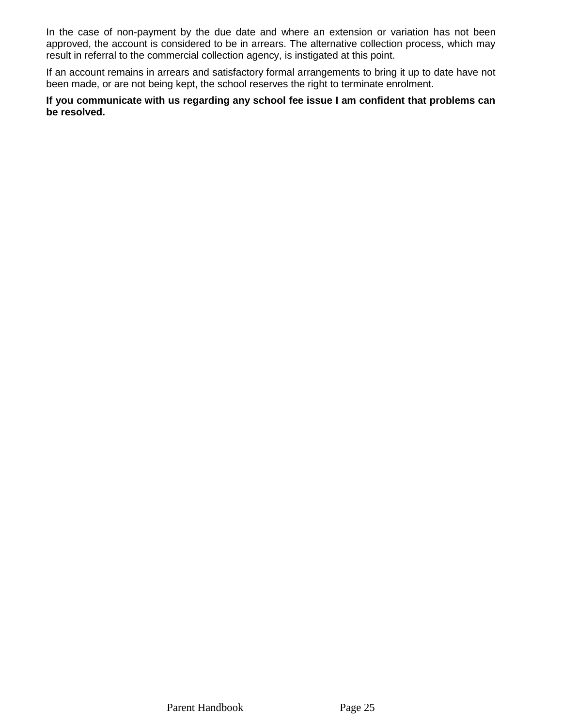In the case of non-payment by the due date and where an extension or variation has not been approved, the account is considered to be in arrears. The alternative collection process, which may result in referral to the commercial collection agency, is instigated at this point.

If an account remains in arrears and satisfactory formal arrangements to bring it up to date have not been made, or are not being kept, the school reserves the right to terminate enrolment.

**If you communicate with us regarding any school fee issue I am confident that problems can be resolved.**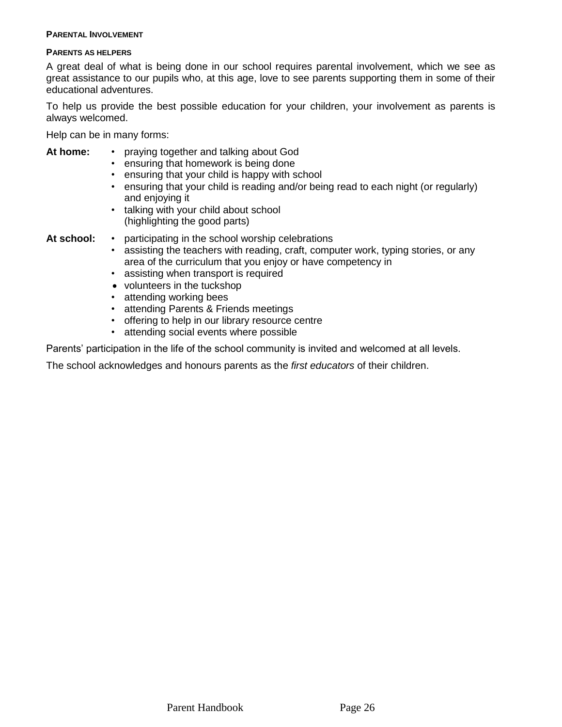#### **PARENTAL INVOLVEMENT**

#### **PARENTS AS HELPERS**

A great deal of what is being done in our school requires parental involvement, which we see as great assistance to our pupils who, at this age, love to see parents supporting them in some of their educational adventures.

To help us provide the best possible education for your children, your involvement as parents is always welcomed.

Help can be in many forms:

# **At home:** • praying together and talking about God

- ensuring that homework is being done
- ensuring that your child is happy with school
- ensuring that your child is reading and/or being read to each night (or regularly) and enjoying it
- talking with your child about school (highlighting the good parts)

- **At school:** participating in the school worship celebrations
	- assisting the teachers with reading, craft, computer work, typing stories, or any area of the curriculum that you enjoy or have competency in
	- assisting when transport is required
	- volunteers in the tuckshop
	- attending working bees
	- attending Parents & Friends meetings
	- offering to help in our library resource centre
	- attending social events where possible

Parents' participation in the life of the school community is invited and welcomed at all levels.

The school acknowledges and honours parents as the *first educators* of their children.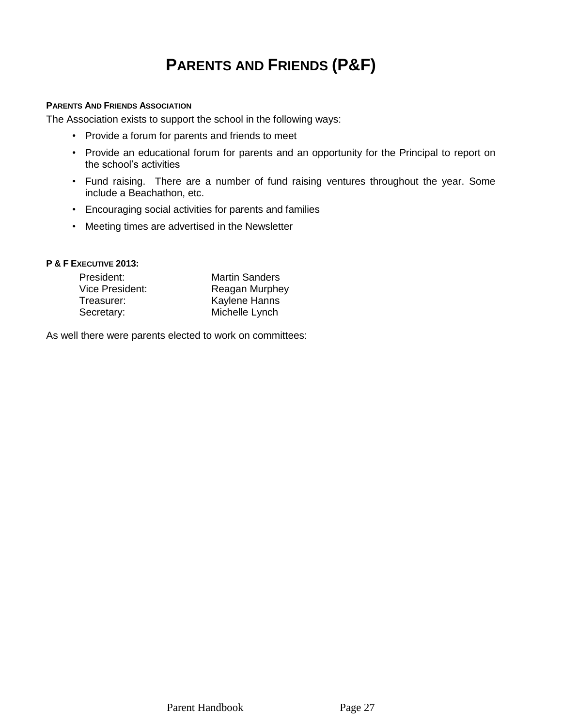# **PARENTS AND FRIENDS (P&F)**

#### **PARENTS AND FRIENDS ASSOCIATION**

The Association exists to support the school in the following ways:

- Provide a forum for parents and friends to meet
- Provide an educational forum for parents and an opportunity for the Principal to report on the school's activities
- Fund raising. There are a number of fund raising ventures throughout the year. Some include a Beachathon, etc.
- Encouraging social activities for parents and families
- Meeting times are advertised in the Newsletter

## **P & F EXECUTIVE 2013:**

| President:      | <b>Martin Sanders</b> |
|-----------------|-----------------------|
| Vice President: | Reagan Murphey        |
| Treasurer:      | <b>Kaylene Hanns</b>  |
| Secretary:      | Michelle Lynch        |

As well there were parents elected to work on committees: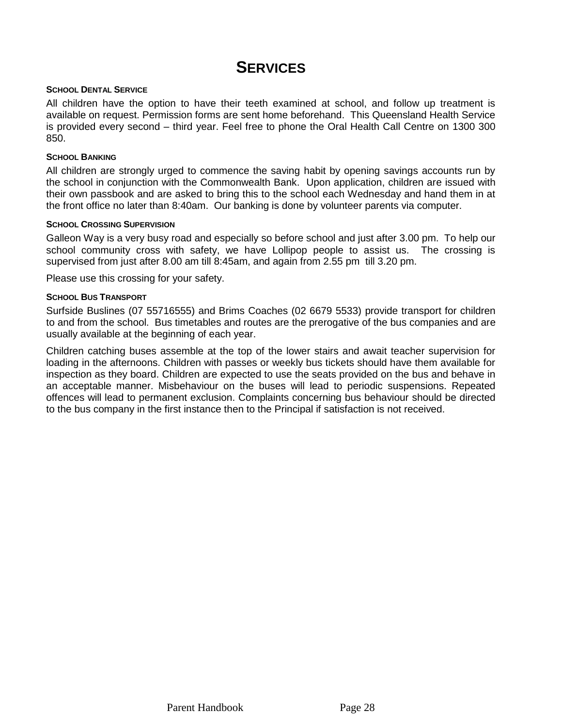# **SERVICES**

#### **SCHOOL DENTAL SERVICE**

All children have the option to have their teeth examined at school, and follow up treatment is available on request. Permission forms are sent home beforehand. This Queensland Health Service is provided every second – third year. Feel free to phone the Oral Health Call Centre on 1300 300 850.

#### **SCHOOL BANKING**

All children are strongly urged to commence the saving habit by opening savings accounts run by the school in conjunction with the Commonwealth Bank. Upon application, children are issued with their own passbook and are asked to bring this to the school each Wednesday and hand them in at the front office no later than 8:40am. Our banking is done by volunteer parents via computer.

#### **SCHOOL CROSSING SUPERVISION**

Galleon Way is a very busy road and especially so before school and just after 3.00 pm. To help our school community cross with safety, we have Lollipop people to assist us. The crossing is supervised from just after 8.00 am till 8:45am, and again from 2.55 pm till 3.20 pm.

Please use this crossing for your safety.

#### **SCHOOL BUS TRANSPORT**

Surfside Buslines (07 55716555) and Brims Coaches (02 6679 5533) provide transport for children to and from the school. Bus timetables and routes are the prerogative of the bus companies and are usually available at the beginning of each year.

Children catching buses assemble at the top of the lower stairs and await teacher supervision for loading in the afternoons. Children with passes or weekly bus tickets should have them available for inspection as they board. Children are expected to use the seats provided on the bus and behave in an acceptable manner. Misbehaviour on the buses will lead to periodic suspensions. Repeated offences will lead to permanent exclusion. Complaints concerning bus behaviour should be directed to the bus company in the first instance then to the Principal if satisfaction is not received.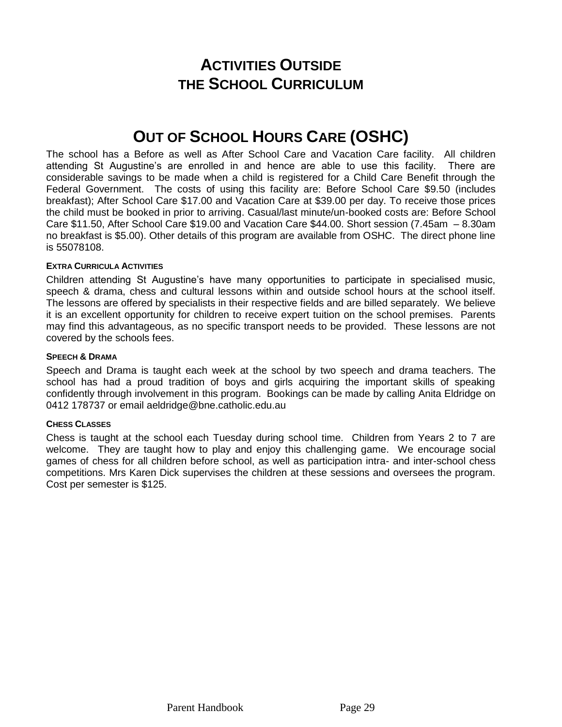# **ACTIVITIES OUTSIDE THE SCHOOL CURRICULUM**

# **OUT OF SCHOOL HOURS CARE (OSHC)**

The school has a Before as well as After School Care and Vacation Care facility. All children attending St Augustine's are enrolled in and hence are able to use this facility. There are considerable savings to be made when a child is registered for a Child Care Benefit through the Federal Government. The costs of using this facility are: Before School Care \$9.50 (includes breakfast); After School Care \$17.00 and Vacation Care at \$39.00 per day. To receive those prices the child must be booked in prior to arriving. Casual/last minute/un-booked costs are: Before School Care \$11.50, After School Care \$19.00 and Vacation Care \$44.00. Short session (7.45am – 8.30am no breakfast is \$5.00). Other details of this program are available from OSHC. The direct phone line is 55078108.

### **EXTRA CURRICULA ACTIVITIES**

Children attending St Augustine's have many opportunities to participate in specialised music, speech & drama, chess and cultural lessons within and outside school hours at the school itself. The lessons are offered by specialists in their respective fields and are billed separately. We believe it is an excellent opportunity for children to receive expert tuition on the school premises. Parents may find this advantageous, as no specific transport needs to be provided. These lessons are not covered by the schools fees.

### **SPEECH & DRAMA**

Speech and Drama is taught each week at the school by two speech and drama teachers. The school has had a proud tradition of boys and girls acquiring the important skills of speaking confidently through involvement in this program. Bookings can be made by calling Anita Eldridge on 0412 178737 or email aeldridge@bne.catholic.edu.au

### **CHESS CLASSES**

Chess is taught at the school each Tuesday during school time. Children from Years 2 to 7 are welcome. They are taught how to play and enjoy this challenging game. We encourage social games of chess for all children before school, as well as participation intra- and inter-school chess competitions. Mrs Karen Dick supervises the children at these sessions and oversees the program. Cost per semester is \$125.